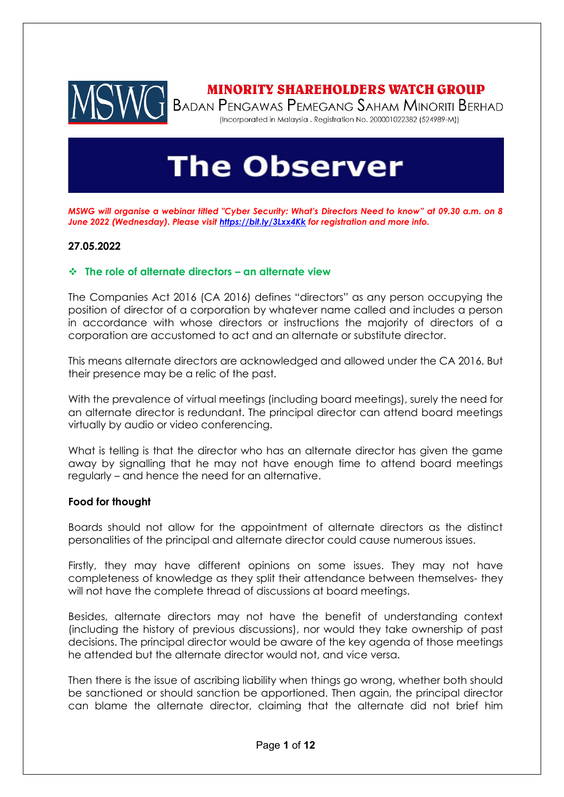

## **MINORITY SHAREHOLDERS WATCH GROUP**

BADAN PENGAWAS PEMEGANG SAHAM MINORITI BERHAD (Incorporated in Malaysia . Registration No. 200001022382 (524989-M))

# **The Observer**

*MSWG will organise a webinar titled "Cyber Security: What's Directors Need to know" at 09.30 a.m. on 8 June 2022 (Wednesday). Please visi[t https://bit.ly/3Lxx4Kk](https://bit.ly/3Lxx4Kk) for registration and more info.* 

### **27.05.2022**

### ❖ **The role of alternate directors – an alternate view**

The Companies Act 2016 (CA 2016) defines "directors" as any person occupying the position of director of a corporation by whatever name called and includes a person in accordance with whose directors or instructions the majority of directors of a corporation are accustomed to act and an alternate or substitute director.

This means alternate directors are acknowledged and allowed under the CA 2016. But their presence may be a relic of the past.

With the prevalence of virtual meetings (including board meetings), surely the need for an alternate director is redundant. The principal director can attend board meetings virtually by audio or video conferencing.

What is telling is that the director who has an alternate director has given the game away by signalling that he may not have enough time to attend board meetings regularly – and hence the need for an alternative.

### **Food for thought**

Boards should not allow for the appointment of alternate directors as the distinct personalities of the principal and alternate director could cause numerous issues.

Firstly, they may have different opinions on some issues. They may not have completeness of knowledge as they split their attendance between themselves- they will not have the complete thread of discussions at board meetings.

Besides, alternate directors may not have the benefit of understanding context (including the history of previous discussions), nor would they take ownership of past decisions. The principal director would be aware of the key agenda of those meetings he attended but the alternate director would not, and vice versa.

Then there is the issue of ascribing liability when things go wrong, whether both should be sanctioned or should sanction be apportioned. Then again, the principal director can blame the alternate director, claiming that the alternate did not brief him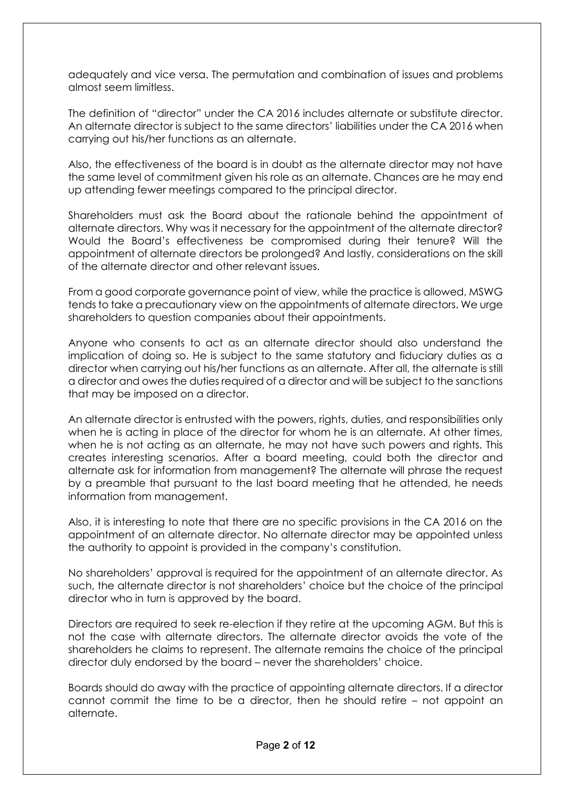adequately and vice versa. The permutation and combination of issues and problems almost seem limitless.

The definition of "director" under the CA 2016 includes alternate or substitute director. An alternate director is subject to the same directors' liabilities under the CA 2016 when carrying out his/her functions as an alternate.

Also, the effectiveness of the board is in doubt as the alternate director may not have the same level of commitment given his role as an alternate. Chances are he may end up attending fewer meetings compared to the principal director.

Shareholders must ask the Board about the rationale behind the appointment of alternate directors. Why was it necessary for the appointment of the alternate director? Would the Board's effectiveness be compromised during their tenure? Will the appointment of alternate directors be prolonged? And lastly, considerations on the skill of the alternate director and other relevant issues.

From a good corporate governance point of view, while the practice is allowed, MSWG tends to take a precautionary view on the appointments of alternate directors. We urge shareholders to question companies about their appointments.

Anyone who consents to act as an alternate director should also understand the implication of doing so. He is subject to the same statutory and fiduciary duties as a director when carrying out his/her functions as an alternate. After all, the alternate is still a director and owes the duties required of a director and will be subject to the sanctions that may be imposed on a director.

An alternate director is entrusted with the powers, rights, duties, and responsibilities only when he is acting in place of the director for whom he is an alternate. At other times, when he is not acting as an alternate, he may not have such powers and rights. This creates interesting scenarios. After a board meeting, could both the director and alternate ask for information from management? The alternate will phrase the request by a preamble that pursuant to the last board meeting that he attended, he needs information from management.

Also, it is interesting to note that there are no specific provisions in the CA 2016 on the appointment of an alternate director. No alternate director may be appointed unless the authority to appoint is provided in the company's constitution.

No shareholders' approval is required for the appointment of an alternate director. As such, the alternate director is not shareholders' choice but the choice of the principal director who in turn is approved by the board.

Directors are required to seek re-election if they retire at the upcoming AGM. But this is not the case with alternate directors. The alternate director avoids the vote of the shareholders he claims to represent. The alternate remains the choice of the principal director duly endorsed by the board – never the shareholders' choice.

Boards should do away with the practice of appointing alternate directors. If a director cannot commit the time to be a director, then he should retire – not appoint an alternate.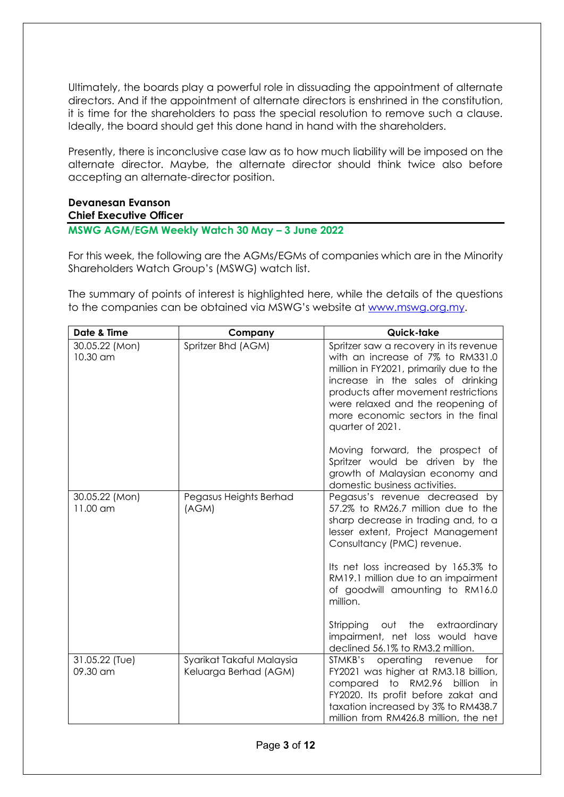Ultimately, the boards play a powerful role in dissuading the appointment of alternate directors. And if the appointment of alternate directors is enshrined in the constitution, it is time for the shareholders to pass the special resolution to remove such a clause. Ideally, the board should get this done hand in hand with the shareholders.

Presently, there is inconclusive case law as to how much liability will be imposed on the alternate director. Maybe, the alternate director should think twice also before accepting an alternate-director position.

# **Devanesan Evanson**

## **Chief Executive Officer**

## **MSWG AGM/EGM Weekly Watch 30 May – 3 June 2022**

For this week, the following are the AGMs/EGMs of companies which are in the Minority Shareholders Watch Group's (MSWG) watch list.

The summary of points of interest is highlighted here, while the details of the questions to the companies can be obtained via MSWG's website at [www.mswg.org.my.](http://www.mswg.org.my/)

| Date & Time                          | Company                                            | Quick-take                                                                                                                                                                                                                                                                                         |
|--------------------------------------|----------------------------------------------------|----------------------------------------------------------------------------------------------------------------------------------------------------------------------------------------------------------------------------------------------------------------------------------------------------|
| 30.05.22 (Mon)<br>10.30 am           | Spritzer Bhd (AGM)                                 | Spritzer saw a recovery in its revenue<br>with an increase of 7% to RM331.0<br>million in FY2021, primarily due to the<br>increase in the sales of drinking<br>products after movement restrictions<br>were relaxed and the reopening of<br>more economic sectors in the final<br>quarter of 2021. |
|                                      |                                                    | Moving forward, the prospect of<br>Spritzer would be driven by the<br>growth of Malaysian economy and<br>domestic business activities.                                                                                                                                                             |
| 30.05.22 (Mon)<br>$11.00 \text{ cm}$ | Pegasus Heights Berhad<br>(AGM)                    | Pegasus's revenue decreased by<br>57.2% to RM26.7 million due to the<br>sharp decrease in trading and, to a<br>lesser extent, Project Management<br>Consultancy (PMC) revenue.                                                                                                                     |
|                                      |                                                    | Its net loss increased by 165.3% to<br>RM19.1 million due to an impairment<br>of goodwill amounting to RM16.0<br>million.                                                                                                                                                                          |
|                                      |                                                    | out the extraordinary<br>Stripping<br>impairment, net loss would have<br>declined 56.1% to RM3.2 million.                                                                                                                                                                                          |
| 31.05.22 (Tue)<br>09.30 am           | Syarikat Takaful Malaysia<br>Keluarga Berhad (AGM) | for<br>STMKB's<br>operating<br>revenue<br>FY2021 was higher at RM3.18 billion,<br>compared to RM2.96<br>billion<br>-in<br>FY2020. Its profit before zakat and<br>taxation increased by 3% to RM438.7<br>million from RM426.8 million, the net                                                      |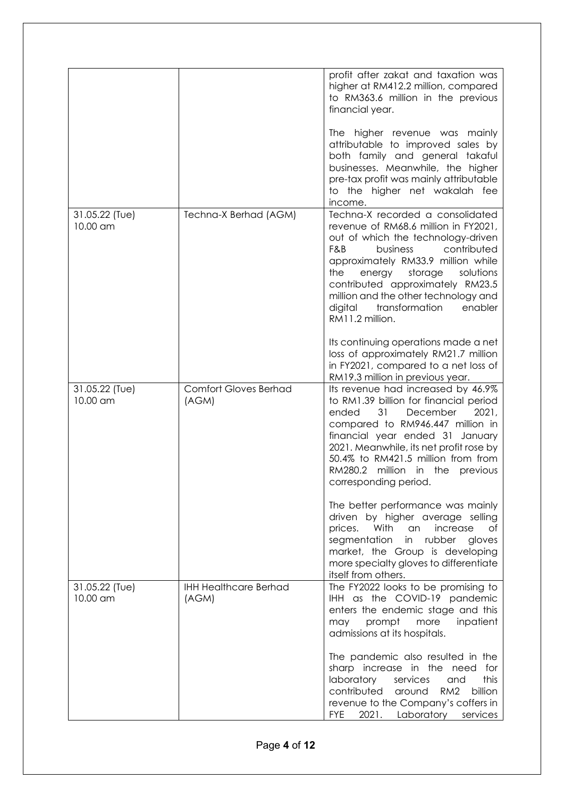|                            |                                       | profit after zakat and taxation was<br>higher at RM412.2 million, compared<br>to RM363.6 million in the previous<br>financial year.                                                                                                                                                                                                                                    |
|----------------------------|---------------------------------------|------------------------------------------------------------------------------------------------------------------------------------------------------------------------------------------------------------------------------------------------------------------------------------------------------------------------------------------------------------------------|
|                            |                                       | The higher revenue was mainly<br>attributable to improved sales by<br>both family and general takaful<br>businesses. Meanwhile, the higher<br>pre-tax profit was mainly attributable<br>to the higher net wakalah fee<br>income.                                                                                                                                       |
| 31.05.22 (Tue)<br>10.00 am | Techna-X Berhad (AGM)                 | Techna-X recorded a consolidated<br>revenue of RM68.6 million in FY2021,<br>out of which the technology-driven<br>F&B<br>contributed<br>business<br>approximately RM33.9 million while<br>the<br>energy<br>storage<br>solutions<br>contributed approximately RM23.5<br>million and the other technology and<br>digital<br>transformation<br>enabler<br>RM11.2 million. |
|                            |                                       | Its continuing operations made a net<br>loss of approximately RM21.7 million<br>in FY2021, compared to a net loss of<br>RM19.3 million in previous year.                                                                                                                                                                                                               |
| 31.05.22 (Tue)<br>10.00 am | <b>Comfort Gloves Berhad</b><br>(AGM) | Its revenue had increased by 46.9%<br>to RM1.39 billion for financial period<br>31<br>2021,<br>ended<br>December<br>compared to RM946.447 million in<br>financial year ended 31 January<br>2021. Meanwhile, its net profit rose by<br>50.4% to RM421.5 million from from<br>RM280.2 million in the<br>previous<br>corresponding period.                                |
|                            |                                       | The better performance was mainly<br>driven by higher average selling<br>With<br>increase<br>prices.<br>an<br>Οf<br>segmentation<br>in rubber<br>gloves<br>market, the Group is developing<br>more specialty gloves to differentiate<br>itself from others.                                                                                                            |
| 31.05.22 (Tue)<br>10.00 am | <b>IHH Healthcare Berhad</b><br>(AGM) | The FY2022 looks to be promising to<br>IHH as the COVID-19 pandemic<br>enters the endemic stage and this<br>prompt<br>more<br>inpatient<br>may<br>admissions at its hospitals.                                                                                                                                                                                         |
|                            |                                       | The pandemic also resulted in the<br>sharp increase in the need<br>for<br>laboratory<br>services<br>this<br>and<br>contributed<br>RM <sub>2</sub><br>billion<br>around<br>revenue to the Company's coffers in<br><b>FYE</b><br>2021. Laboratory services                                                                                                               |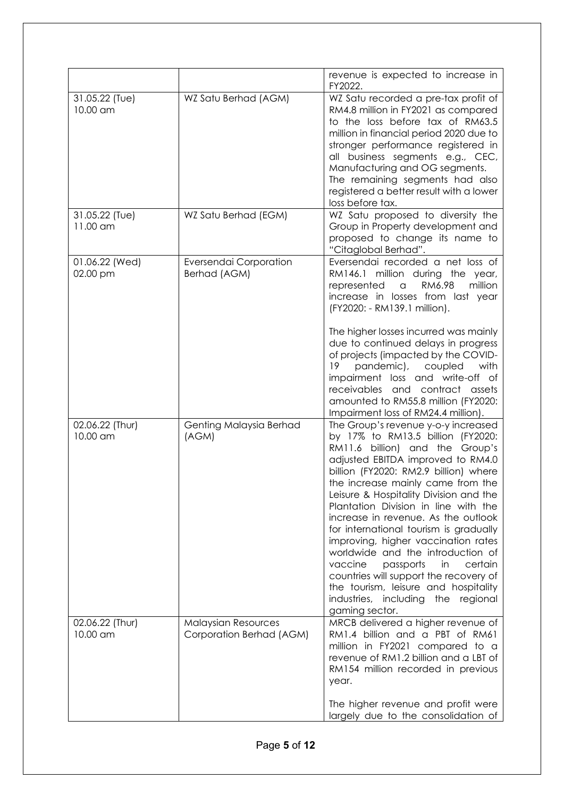|                             |                                                        | revenue is expected to increase in<br>FY2022.                                                                                                                                                                                                                                                                                                                                                                                                                                                                                                                                                                                                                       |
|-----------------------------|--------------------------------------------------------|---------------------------------------------------------------------------------------------------------------------------------------------------------------------------------------------------------------------------------------------------------------------------------------------------------------------------------------------------------------------------------------------------------------------------------------------------------------------------------------------------------------------------------------------------------------------------------------------------------------------------------------------------------------------|
| 31.05.22 (Tue)<br>10.00 am  | WZ Satu Berhad (AGM)                                   | WZ Satu recorded a pre-tax profit of<br>RM4.8 million in FY2021 as compared<br>to the loss before tax of RM63.5<br>million in financial period 2020 due to<br>stronger performance registered in<br>all business segments e.g., CEC,<br>Manufacturing and OG segments.<br>The remaining segments had also<br>registered a better result with a lower<br>loss before tax.                                                                                                                                                                                                                                                                                            |
| 31.05.22 (Tue)<br>11.00 am  | WZ Satu Berhad (EGM)                                   | WZ Satu proposed to diversity the<br>Group in Property development and<br>proposed to change its name to<br>"Citaglobal Berhad".                                                                                                                                                                                                                                                                                                                                                                                                                                                                                                                                    |
| 01.06.22 (Wed)<br>02.00 pm  | Eversendai Corporation<br>Berhad (AGM)                 | Eversendai recorded a net loss of<br>RM146.1 million during the year,<br>RM6.98<br>million<br>represented<br>$\alpha$<br>increase in losses from last year<br>(FY2020: - RM139.1 million).<br>The higher losses incurred was mainly<br>due to continued delays in progress<br>of projects (impacted by the COVID-<br>pandemic), coupled<br>19<br>with<br>impairment loss and write-off of<br>receivables<br>and contract assets<br>amounted to RM55.8 million (FY2020:<br>Impairment loss of RM24.4 million).                                                                                                                                                       |
| 02.06.22 (Thur)<br>10.00 am | Genting Malaysia Berhad<br>(AGM)                       | The Group's revenue y-o-y increased<br>by 17% to RM13.5 billion (FY2020:<br>RM11.6 billion) and the Group's<br>adjusted EBITDA improved to RM4.0<br>billion (FY2020: RM2.9 billion) where<br>the increase mainly came from the<br>Leisure & Hospitality Division and the<br>Plantation Division in line with the<br>increase in revenue. As the outlook<br>for international tourism is gradually<br>improving, higher vaccination rates<br>worldwide and the introduction of<br>vaccine<br>passports<br>in<br>certain<br>countries will support the recovery of<br>the tourism, leisure and hospitality<br>industries, including<br>the regional<br>gaming sector. |
| 02.06.22 (Thur)<br>10.00 am | <b>Malaysian Resources</b><br>Corporation Berhad (AGM) | MRCB delivered a higher revenue of<br>RM1.4 billion and a PBT of RM61<br>million in FY2021 compared to a<br>revenue of RM1.2 billion and a LBT of<br>RM154 million recorded in previous<br>year.<br>The higher revenue and profit were<br>largely due to the consolidation of                                                                                                                                                                                                                                                                                                                                                                                       |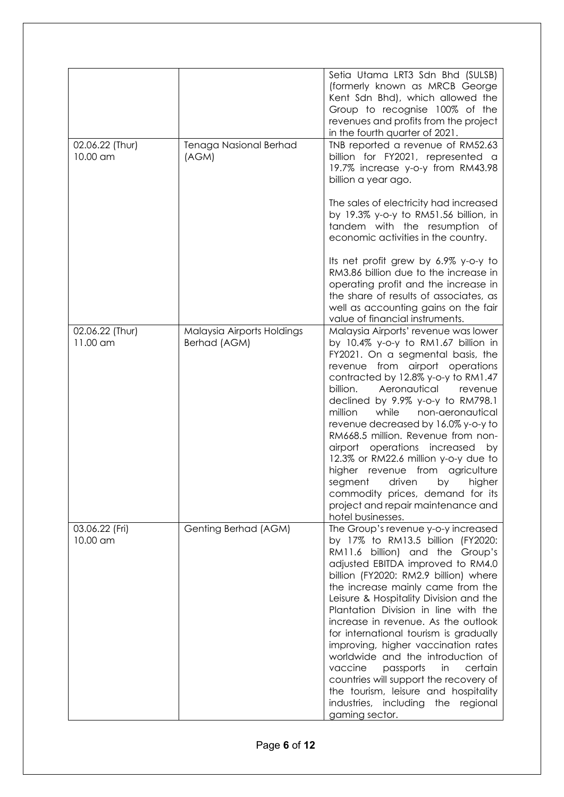|                             |                                            | Setia Utama LRT3 Sdn Bhd (SULSB)<br>(formerly known as MRCB George<br>Kent Sdn Bhd), which allowed the<br>Group to recognise 100% of the<br>revenues and profits from the project<br>in the fourth quarter of 2021.                                                                                                                                                                                                                                                                                                                                                                                                                                              |
|-----------------------------|--------------------------------------------|------------------------------------------------------------------------------------------------------------------------------------------------------------------------------------------------------------------------------------------------------------------------------------------------------------------------------------------------------------------------------------------------------------------------------------------------------------------------------------------------------------------------------------------------------------------------------------------------------------------------------------------------------------------|
| 02.06.22 (Thur)<br>10.00 am | Tenaga Nasional Berhad<br>(AGM)            | TNB reported a revenue of RM52.63<br>billion for FY2021, represented a<br>19.7% increase y-o-y from RM43.98<br>billion a year ago.                                                                                                                                                                                                                                                                                                                                                                                                                                                                                                                               |
|                             |                                            | The sales of electricity had increased<br>by 19.3% y-o-y to RM51.56 billion, in<br>tandem with the resumption of<br>economic activities in the country.                                                                                                                                                                                                                                                                                                                                                                                                                                                                                                          |
|                             |                                            | Its net profit grew by 6.9% y-o-y to<br>RM3.86 billion due to the increase in<br>operating profit and the increase in<br>the share of results of associates, as<br>well as accounting gains on the fair<br>value of financial instruments.                                                                                                                                                                                                                                                                                                                                                                                                                       |
| 02.06.22 (Thur)<br>11.00 am | Malaysia Airports Holdings<br>Berhad (AGM) | Malaysia Airports' revenue was lower<br>by 10.4% y-o-y to RM1.67 billion in<br>FY2021. On a segmental basis, the<br>revenue from airport operations<br>contracted by 12.8% y-o-y to RM1.47<br>Aeronautical<br>billion.<br>revenue<br>declined by 9.9% y-o-y to RM798.1<br>while<br>million<br>non-aeronautical<br>revenue decreased by 16.0% y-o-y to<br>RM668.5 million. Revenue from non-<br>operations increased<br>airport<br>by<br>12.3% or RM22.6 million y-o-y due to<br>higher revenue from agriculture<br>segment<br>driven<br>higher<br>by<br>commodity prices, demand for its<br>project and repair maintenance and<br>hotel businesses.              |
| 03.06.22 (Fri)<br>10.00 am  | Genting Berhad (AGM)                       | The Group's revenue y-o-y increased<br>by 17% to RM13.5 billion (FY2020:<br>RM11.6 billion) and the Group's<br>adjusted EBITDA improved to RM4.0<br>billion (FY2020: RM2.9 billion) where<br>the increase mainly came from the<br>Leisure & Hospitality Division and the<br>Plantation Division in line with the<br>increase in revenue. As the outlook<br>for international tourism is gradually<br>improving, higher vaccination rates<br>worldwide and the introduction of<br>vaccine<br>passports<br>in<br>certain<br>countries will support the recovery of<br>the tourism, leisure and hospitality<br>industries, including the regional<br>gaming sector. |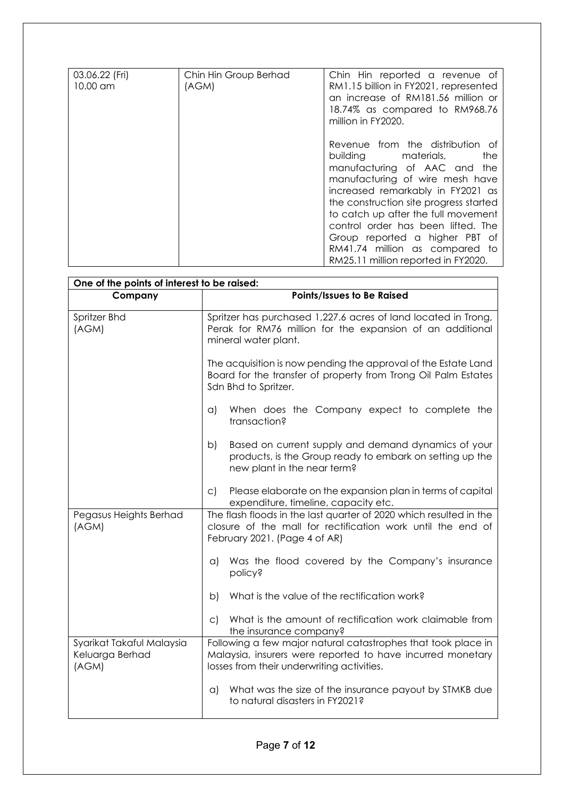| 03.06.22 (Fri)<br>10.00 am | Chin Hin Group Berhad<br>(AGM) | Chin Hin reported a revenue of<br>RM1.15 billion in FY2021, represented<br>an increase of RM181.56 million or<br>18.74% as compared to RM968.76                                                                                                                                                                                                                                                                                |
|----------------------------|--------------------------------|--------------------------------------------------------------------------------------------------------------------------------------------------------------------------------------------------------------------------------------------------------------------------------------------------------------------------------------------------------------------------------------------------------------------------------|
|                            |                                | million in FY2020.<br>Revenue from the distribution of<br>building materials,<br>the<br>manufacturing of AAC and the<br>manufacturing of wire mesh have<br>increased remarkably in FY2021 as<br>the construction site progress started<br>to catch up after the full movement<br>control order has been lifted. The<br>Group reported a higher PBT of<br>RM41.74 million as compared to<br>RM25.11 million reported in FY2020. |

| One of the points of interest to be raised:           |                                                                                                                                                                           |  |
|-------------------------------------------------------|---------------------------------------------------------------------------------------------------------------------------------------------------------------------------|--|
| Company                                               | Points/Issues to Be Raised                                                                                                                                                |  |
| Spritzer Bhd<br>(AGM)                                 | Spritzer has purchased 1,227.6 acres of land located in Trong,<br>Perak for RM76 million for the expansion of an additional<br>mineral water plant.                       |  |
|                                                       | The acquisition is now pending the approval of the Estate Land<br>Board for the transfer of property from Trong Oil Palm Estates<br>Sdn Bhd to Spritzer.                  |  |
|                                                       | When does the Company expect to complete the<br>$\alpha$<br>transaction?                                                                                                  |  |
|                                                       | Based on current supply and demand dynamics of your<br>b)<br>products, is the Group ready to embark on setting up the<br>new plant in the near term?                      |  |
|                                                       | Please elaborate on the expansion plan in terms of capital<br>$\mathsf{C}$<br>expenditure, timeline, capacity etc.                                                        |  |
| Pegasus Heights Berhad<br>(AGM)                       | The flash floods in the last quarter of 2020 which resulted in the<br>closure of the mall for rectification work until the end of<br>February 2021. (Page 4 of AR)        |  |
|                                                       | Was the flood covered by the Company's insurance<br>$\alpha$<br><b>policy?</b>                                                                                            |  |
|                                                       | What is the value of the rectification work?<br>b)                                                                                                                        |  |
|                                                       | What is the amount of rectification work claimable from<br>$\mathsf{C}$<br>the insurance company?                                                                         |  |
| Syarikat Takaful Malaysia<br>Keluarga Berhad<br>(AGM) | Following a few major natural catastrophes that took place in<br>Malaysia, insurers were reported to have incurred monetary<br>losses from their underwriting activities. |  |
|                                                       | What was the size of the insurance payout by STMKB due<br>$\alpha$<br>to natural disasters in FY2021?                                                                     |  |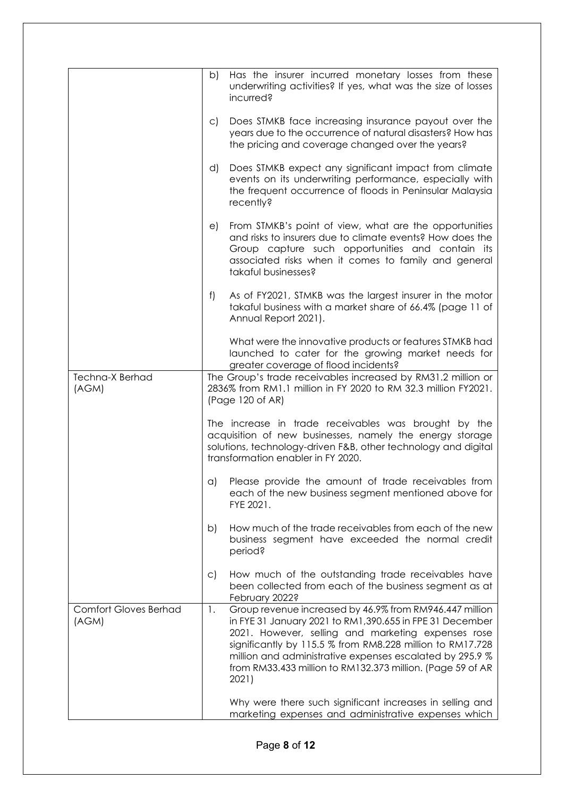|                                       | b)           | Has the insurer incurred monetary losses from these<br>underwriting activities? If yes, what was the size of losses<br>incurred?                                                                                                                                                                                                                                          |
|---------------------------------------|--------------|---------------------------------------------------------------------------------------------------------------------------------------------------------------------------------------------------------------------------------------------------------------------------------------------------------------------------------------------------------------------------|
|                                       | $\subset$ )  | Does STMKB face increasing insurance payout over the<br>years due to the occurrence of natural disasters? How has<br>the pricing and coverage changed over the years?                                                                                                                                                                                                     |
|                                       | d)           | Does STMKB expect any significant impact from climate<br>events on its underwriting performance, especially with<br>the frequent occurrence of floods in Peninsular Malaysia<br>recently?                                                                                                                                                                                 |
|                                       | e)           | From STMKB's point of view, what are the opportunities<br>and risks to insurers due to climate events? How does the<br>Group capture such opportunities and contain its<br>associated risks when it comes to family and general<br>takaful businesses?                                                                                                                    |
|                                       | f)           | As of FY2021, STMKB was the largest insurer in the motor<br>takaful business with a market share of 66.4% (page 11 of<br>Annual Report 2021).                                                                                                                                                                                                                             |
|                                       |              | What were the innovative products or features STMKB had<br>launched to cater for the growing market needs for<br>greater coverage of flood incidents?                                                                                                                                                                                                                     |
| <b>Techna-X Berhad</b><br>(AGM)       |              | The Group's trade receivables increased by RM31.2 million or<br>2836% from RM1.1 million in FY 2020 to RM 32.3 million FY2021.<br>(Page 120 of AR)                                                                                                                                                                                                                        |
|                                       |              | The increase in trade receivables was brought by the<br>acquisition of new businesses, namely the energy storage<br>solutions, technology-driven F&B, other technology and digital<br>transformation enabler in FY 2020.                                                                                                                                                  |
|                                       | $\alpha$     | Please provide the amount of trade receivables from<br>each of the new business segment mentioned above for<br>FYE 2021.                                                                                                                                                                                                                                                  |
|                                       | b)           | How much of the trade receivables from each of the new<br>business segment have exceeded the normal credit<br>period?                                                                                                                                                                                                                                                     |
|                                       | $\mathsf{C}$ | How much of the outstanding trade receivables have<br>been collected from each of the business segment as at<br>February 2022?                                                                                                                                                                                                                                            |
| <b>Comfort Gloves Berhad</b><br>(AGM) | 1.           | Group revenue increased by 46.9% from RM946.447 million<br>in FYE 31 January 2021 to RM1,390.655 in FPE 31 December<br>2021. However, selling and marketing expenses rose<br>significantly by 115.5 % from RM8.228 million to RM17.728<br>million and administrative expenses escalated by 295.9 %<br>from RM33.433 million to RM132.373 million. (Page 59 of AR<br>2021) |
|                                       |              | Why were there such significant increases in selling and<br>marketing expenses and administrative expenses which                                                                                                                                                                                                                                                          |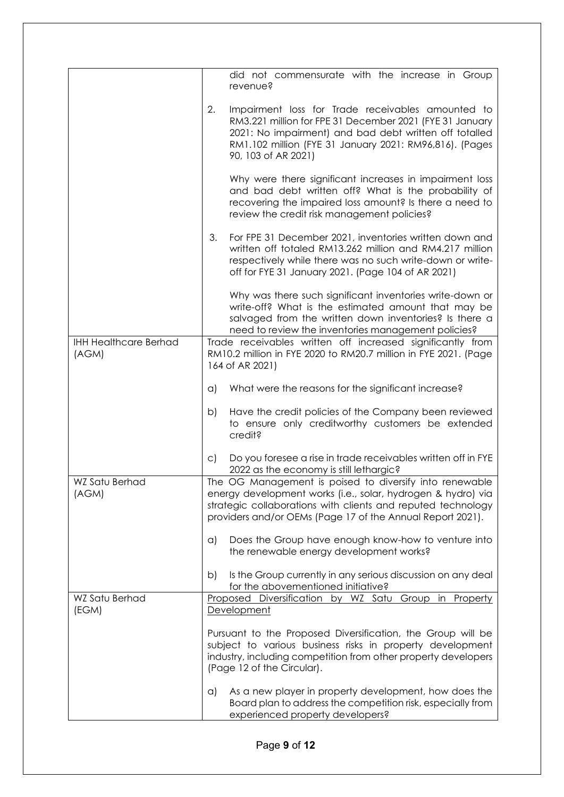|                                       |              | did not commensurate with the increase in Group                                                                                                                                                                                                           |
|---------------------------------------|--------------|-----------------------------------------------------------------------------------------------------------------------------------------------------------------------------------------------------------------------------------------------------------|
|                                       |              | revenue?                                                                                                                                                                                                                                                  |
|                                       | 2.           | Impairment loss for Trade receivables amounted to<br>RM3.221 million for FPE 31 December 2021 (FYE 31 January<br>2021: No impairment) and bad debt written off totalled<br>RM1.102 million (FYE 31 January 2021: RM96,816). (Pages<br>90, 103 of AR 2021) |
|                                       |              | Why were there significant increases in impairment loss<br>and bad debt written off? What is the probability of<br>recovering the impaired loss amount? Is there a need to<br>review the credit risk management policies?                                 |
|                                       | 3.           | For FPE 31 December 2021, inventories written down and<br>written off totaled RM13.262 million and RM4.217 million<br>respectively while there was no such write-down or write-<br>off for FYE 31 January 2021. (Page 104 of AR 2021)                     |
|                                       |              | Why was there such significant inventories write-down or<br>write-off? What is the estimated amount that may be<br>salvaged from the written down inventories? Is there a<br>need to review the inventories management policies?                          |
| <b>IHH Healthcare Berhad</b><br>(AGM) |              | Trade receivables written off increased significantly from<br>RM10.2 million in FYE 2020 to RM20.7 million in FYE 2021. (Page<br>164 of AR 2021)                                                                                                          |
|                                       | $\alpha$ )   | What were the reasons for the significant increase?                                                                                                                                                                                                       |
|                                       | b)           | Have the credit policies of the Company been reviewed<br>to ensure only creditworthy customers be extended<br>credit?                                                                                                                                     |
|                                       | $\mathsf{C}$ | Do you foresee a rise in trade receivables written off in FYE<br>2022 as the economy is still lethargic?                                                                                                                                                  |
| WZ Satu Berhad<br>(AGM)               |              | The OG Management is poised to diversify into renewable<br>energy development works (i.e., solar, hydrogen & hydro) via<br>strategic collaborations with clients and reputed technology<br>providers and/or OEMs (Page 17 of the Annual Report 2021).     |
|                                       | $\alpha$     | Does the Group have enough know-how to venture into<br>the renewable energy development works?                                                                                                                                                            |
|                                       | b)           | Is the Group currently in any serious discussion on any deal<br>for the abovementioned initiative?                                                                                                                                                        |
| WZ Satu Berhad<br>(EGM)               |              | Proposed Diversification by WZ Satu Group in Property<br>Development                                                                                                                                                                                      |
|                                       |              | Pursuant to the Proposed Diversification, the Group will be<br>subject to various business risks in property development<br>industry, including competition from other property developers<br>(Page 12 of the Circular).                                  |
|                                       | $\alpha$     | As a new player in property development, how does the<br>Board plan to address the competition risk, especially from<br>experienced property developers?                                                                                                  |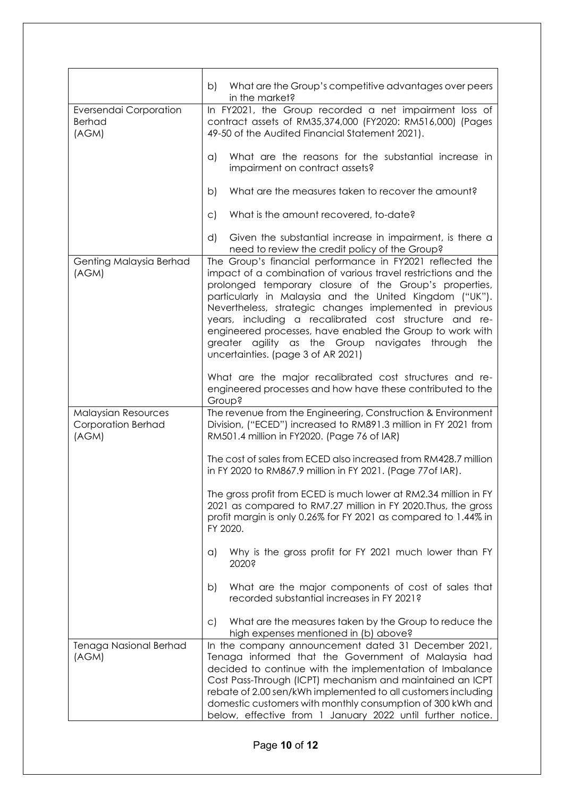|                                                                  | b)<br>What are the Group's competitive advantages over peers<br>in the market?                                                                                                                                                                                                                                                                                                                                                                                                                                                    |
|------------------------------------------------------------------|-----------------------------------------------------------------------------------------------------------------------------------------------------------------------------------------------------------------------------------------------------------------------------------------------------------------------------------------------------------------------------------------------------------------------------------------------------------------------------------------------------------------------------------|
| Eversendai Corporation<br><b>Berhad</b><br>(AGM)                 | In FY2021, the Group recorded a net impairment loss of<br>contract assets of RM35,374,000 (FY2020: RM516,000) (Pages<br>49-50 of the Audited Financial Statement 2021).                                                                                                                                                                                                                                                                                                                                                           |
|                                                                  | What are the reasons for the substantial increase in<br>a)<br>impairment on contract assets?                                                                                                                                                                                                                                                                                                                                                                                                                                      |
|                                                                  | What are the measures taken to recover the amount?<br>b)                                                                                                                                                                                                                                                                                                                                                                                                                                                                          |
|                                                                  | What is the amount recovered, to-date?<br>$\mathsf{C}$                                                                                                                                                                                                                                                                                                                                                                                                                                                                            |
|                                                                  | d)<br>Given the substantial increase in impairment, is there a<br>need to review the credit policy of the Group?                                                                                                                                                                                                                                                                                                                                                                                                                  |
| Genting Malaysia Berhad<br>(AGM)                                 | The Group's financial performance in FY2021 reflected the<br>impact of a combination of various travel restrictions and the<br>prolonged temporary closure of the Group's properties,<br>particularly in Malaysia and the United Kingdom ("UK").<br>Nevertheless, strategic changes implemented in previous<br>years, including a recalibrated cost structure and re-<br>engineered processes, have enabled the Group to work with<br>greater agility as the Group navigates through<br>the<br>uncertainties. (page 3 of AR 2021) |
|                                                                  | What are the major recalibrated cost structures and re-<br>engineered processes and how have these contributed to the<br><b>Group?</b>                                                                                                                                                                                                                                                                                                                                                                                            |
| <b>Malaysian Resources</b><br><b>Corporation Berhad</b><br>(AGM) | The revenue from the Engineering, Construction & Environment<br>Division, ("ECED") increased to RM891.3 million in FY 2021 from<br>RM501.4 million in FY2020. (Page 76 of IAR)                                                                                                                                                                                                                                                                                                                                                    |
|                                                                  | The cost of sales from ECED also increased from RM428.7 million<br>in FY 2020 to RM867.9 million in FY 2021. (Page 77 of IAR).                                                                                                                                                                                                                                                                                                                                                                                                    |
|                                                                  | The gross profit from ECED is much lower at RM2.34 million in FY<br>2021 as compared to RM7.27 million in FY 2020. Thus, the gross<br>profit margin is only 0.26% for FY 2021 as compared to 1.44% in<br>FY 2020.                                                                                                                                                                                                                                                                                                                 |
|                                                                  | Why is the gross profit for FY 2021 much lower than FY<br>a)<br>2020?                                                                                                                                                                                                                                                                                                                                                                                                                                                             |
|                                                                  | What are the major components of cost of sales that<br>b)<br>recorded substantial increases in FY 2021?                                                                                                                                                                                                                                                                                                                                                                                                                           |
|                                                                  | What are the measures taken by the Group to reduce the<br>$\mathsf{C}$<br>high expenses mentioned in (b) above?                                                                                                                                                                                                                                                                                                                                                                                                                   |
| Tenaga Nasional Berhad<br>(AGM)                                  | In the company announcement dated 31 December 2021,<br>Tenaga informed that the Government of Malaysia had<br>decided to continue with the implementation of Imbalance<br>Cost Pass-Through (ICPT) mechanism and maintained an ICPT<br>rebate of 2.00 sen/kWh implemented to all customers including<br>domestic customers with monthly consumption of 300 kWh and<br>below, effective from 1 January 2022 until further notice.                                                                                                  |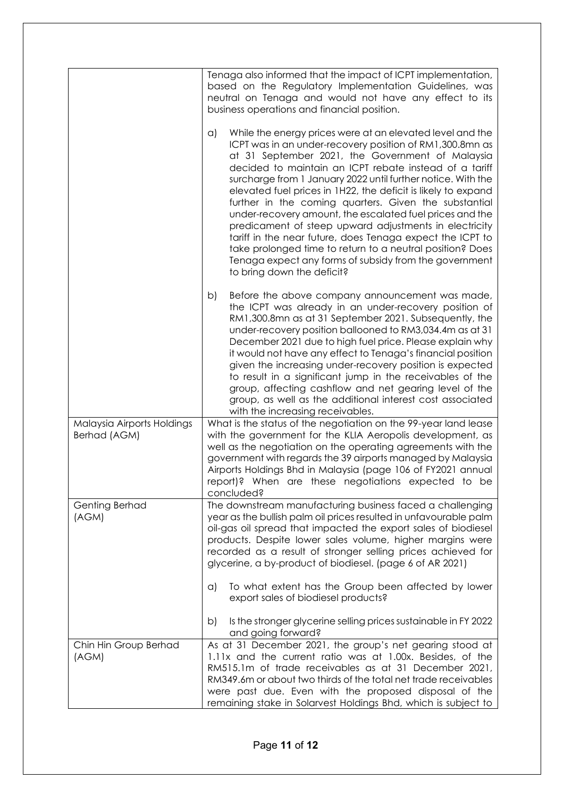|                                            | Tenaga also informed that the impact of ICPT implementation,<br>based on the Regulatory Implementation Guidelines, was<br>neutral on Tenaga and would not have any effect to its<br>business operations and financial position.<br>While the energy prices were at an elevated level and the<br>$\alpha$<br>ICPT was in an under-recovery position of RM1,300.8mn as<br>at 31 September 2021, the Government of Malaysia<br>decided to maintain an ICPT rebate instead of a tariff<br>surcharge from 1 January 2022 until further notice. With the<br>elevated fuel prices in 1H22, the deficit is likely to expand<br>further in the coming quarters. Given the substantial<br>under-recovery amount, the escalated fuel prices and the<br>predicament of steep upward adjustments in electricity<br>tariff in the near future, does Tenaga expect the ICPT to<br>take prolonged time to return to a neutral position? Does<br>Tenaga expect any forms of subsidy from the government<br>to bring down the deficit? |
|--------------------------------------------|----------------------------------------------------------------------------------------------------------------------------------------------------------------------------------------------------------------------------------------------------------------------------------------------------------------------------------------------------------------------------------------------------------------------------------------------------------------------------------------------------------------------------------------------------------------------------------------------------------------------------------------------------------------------------------------------------------------------------------------------------------------------------------------------------------------------------------------------------------------------------------------------------------------------------------------------------------------------------------------------------------------------|
|                                            | Before the above company announcement was made,<br>b)<br>the ICPT was already in an under-recovery position of<br>RM1,300.8mn as at 31 September 2021. Subsequently, the<br>under-recovery position ballooned to RM3,034.4m as at 31<br>December 2021 due to high fuel price. Please explain why<br>it would not have any effect to Tenaga's financial position<br>given the increasing under-recovery position is expected<br>to result in a significant jump in the receivables of the<br>group, affecting cashflow and net gearing level of the<br>group, as well as the additional interest cost associated<br>with the increasing receivables.                                                                                                                                                                                                                                                                                                                                                                  |
| Malaysia Airports Holdings<br>Berhad (AGM) | What is the status of the negotiation on the 99-year land lease<br>with the government for the KLIA Aeropolis development, as<br>well as the negotiation on the operating agreements with the<br>government with regards the 39 airports managed by Malaysia<br>Airports Holdings Bhd in Malaysia (page 106 of FY2021 annual<br>report)? When are these negotiations expected to be<br>concluded?                                                                                                                                                                                                                                                                                                                                                                                                                                                                                                                                                                                                                    |
| Genting Berhad<br>(AGM)                    | The downstream manufacturing business faced a challenging<br>year as the bullish palm oil prices resulted in unfavourable palm<br>oil-gas oil spread that impacted the export sales of biodiesel<br>products. Despite lower sales volume, higher margins were<br>recorded as a result of stronger selling prices achieved for<br>glycerine, a by-product of biodiesel. (page 6 of AR 2021)<br>To what extent has the Group been affected by lower<br>$\alpha$<br>export sales of biodiesel products?                                                                                                                                                                                                                                                                                                                                                                                                                                                                                                                 |
|                                            | Is the stronger glycerine selling prices sustainable in FY 2022<br>b)<br>and going forward?                                                                                                                                                                                                                                                                                                                                                                                                                                                                                                                                                                                                                                                                                                                                                                                                                                                                                                                          |
| Chin Hin Group Berhad<br>(AGM)             | As at 31 December 2021, the group's net gearing stood at<br>1.11x and the current ratio was at 1.00x. Besides, of the<br>RM515.1m of trade receivables as at 31 December 2021,<br>RM349.6m or about two thirds of the total net trade receivables<br>were past due. Even with the proposed disposal of the<br>remaining stake in Solarvest Holdings Bhd, which is subject to                                                                                                                                                                                                                                                                                                                                                                                                                                                                                                                                                                                                                                         |